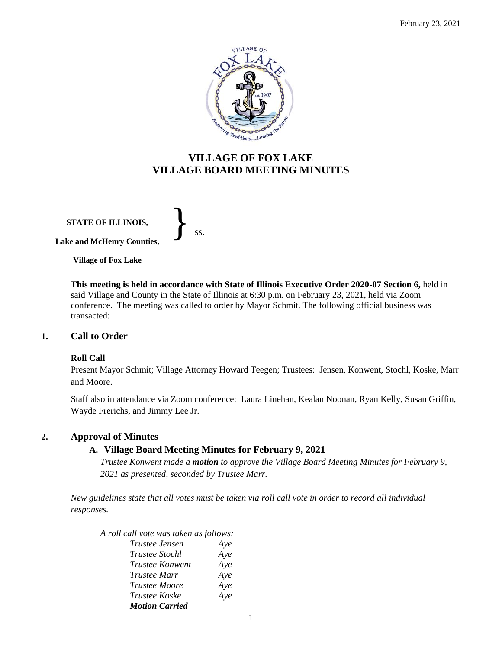

# **VILLAGE OF FOX LAKE VILLAGE BOARD MEETING MINUTES**

**STATE OF ILLINOIS, Lake and McHenry Counties,**  }<br>*ss.* 

**Village of Fox Lake**

**This meeting is held in accordance with State of Illinois Executive Order 2020-07 Section 6,** held in said Village and County in the State of Illinois at 6:30 p.m. on February 23, 2021, held via Zoom conference. The meeting was called to order by Mayor Schmit. The following official business was transacted:

#### **1. Call to Order**

#### **Roll Call**

Present Mayor Schmit; Village Attorney Howard Teegen; Trustees: Jensen, Konwent, Stochl, Koske, Marr and Moore.

Staff also in attendance via Zoom conference: Laura Linehan, Kealan Noonan, Ryan Kelly, Susan Griffin, Wayde Frerichs, and Jimmy Lee Jr.

#### **2. Approval of Minutes**

### **A. Village Board Meeting Minutes for February 9, 2021**

*Trustee Konwent made a motion to approve the Village Board Meeting Minutes for February 9, 2021 as presented, seconded by Trustee Marr.* 

*New guidelines state that all votes must be taken via roll call vote in order to record all individual responses.* 

*A roll call vote was taken as follows: Trustee Jensen Aye*

| A ve |
|------|
| Aye  |
| Aye  |
| Aye  |
| Aye  |
| Aye  |
|      |
|      |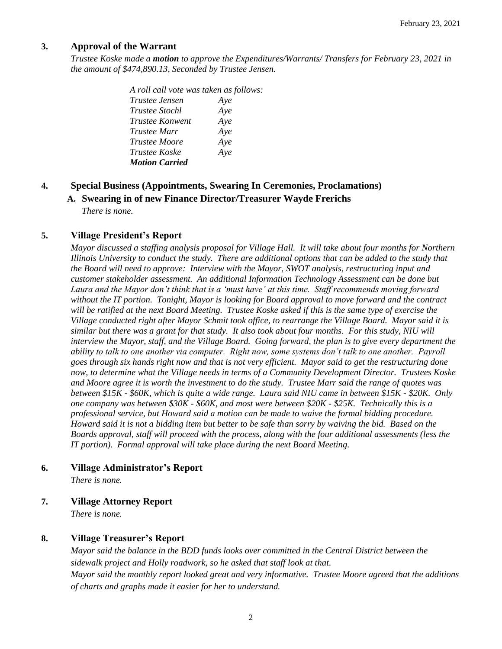### **3. Approval of the Warrant**

*Trustee Koske made a motion to approve the Expenditures/Warrants/ Transfers for February 23, 2021 in the amount of \$474,890.13, Seconded by Trustee Jensen.*

> *A roll call vote was taken as follows: Trustee Jensen Aye Trustee Stochl Aye Trustee Konwent Aye Trustee Marr Aye Trustee Moore Aye Trustee Koske Aye Motion Carried*

### **4. Special Business (Appointments, Swearing In Ceremonies, Proclamations)**

**A. Swearing in of new Finance Director/Treasurer Wayde Frerichs**

*There is none.*

### **5. Village President's Report**

*Mayor discussed a staffing analysis proposal for Village Hall. It will take about four months for Northern Illinois University to conduct the study. There are additional options that can be added to the study that the Board will need to approve: Interview with the Mayor, SWOT analysis, restructuring input and customer stakeholder assessment. An additional Information Technology Assessment can be done but Laura and the Mayor don't think that is a 'must have' at this time. Staff recommends moving forward without the IT portion. Tonight, Mayor is looking for Board approval to move forward and the contract will be ratified at the next Board Meeting. Trustee Koske asked if this is the same type of exercise the Village conducted right after Mayor Schmit took office, to rearrange the Village Board. Mayor said it is similar but there was a grant for that study. It also took about four months. For this study, NIU will interview the Mayor, staff, and the Village Board. Going forward, the plan is to give every department the ability to talk to one another via computer. Right now, some systems don't talk to one another. Payroll goes through six hands right now and that is not very efficient. Mayor said to get the restructuring done now, to determine what the Village needs in terms of a Community Development Director. Trustees Koske and Moore agree it is worth the investment to do the study. Trustee Marr said the range of quotes was between \$15K - \$60K, which is quite a wide range. Laura said NIU came in between \$15K - \$20K. Only one company was between \$30K - \$60K, and most were between \$20K - \$25K. Technically this is a professional service, but Howard said a motion can be made to waive the formal bidding procedure. Howard said it is not a bidding item but better to be safe than sorry by waiving the bid. Based on the Boards approval, staff will proceed with the process, along with the four additional assessments (less the IT portion). Formal approval will take place during the next Board Meeting.* 

### **6. Village Administrator's Report**

*There is none.*

### **7. Village Attorney Report**

*There is none.*

### **8. Village Treasurer's Report**

*Mayor said the balance in the BDD funds looks over committed in the Central District between the sidewalk project and Holly roadwork, so he asked that staff look at that. Mayor said the monthly report looked great and very informative. Trustee Moore agreed that the additions of charts and graphs made it easier for her to understand.*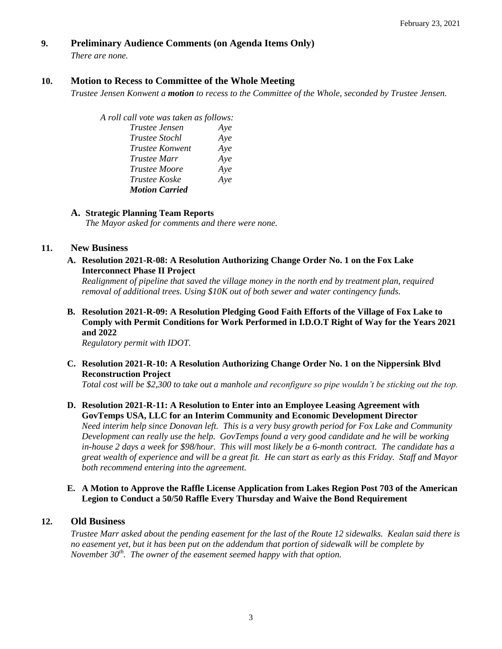### **9. Preliminary Audience Comments (on Agenda Items Only)**

*There are none.* 

### **10. Motion to Recess to Committee of the Whole Meeting**

*Trustee Jensen Konwent a motion to recess to the Committee of the Whole, seconded by Trustee Jensen.* 

*A roll call vote was taken as follows: Trustee Jensen Aye*

*Trustee Stochl Aye Trustee Konwent Aye Trustee Marr Aye Trustee Moore Aye Trustee Koske Aye Motion Carried*

### **A. Strategic Planning Team Reports**

*The Mayor asked for comments and there were none.*

#### **11. New Business**

**A. Resolution 2021-R-08: A Resolution Authorizing Change Order No. 1 on the Fox Lake Interconnect Phase II Project**

*Realignment of pipeline that saved the village money in the north end by treatment plan, required removal of additional trees. Using \$10K out of both sewer and water contingency funds.* 

**B. Resolution 2021-R-09: A Resolution Pledging Good Faith Efforts of the Village of Fox Lake to Comply with Permit Conditions for Work Performed in I.D.O.T Right of Way for the Years 2021 and 2022**

*Regulatory permit with IDOT.* 

**C. Resolution 2021-R-10: A Resolution Authorizing Change Order No. 1 on the Nippersink Blvd Reconstruction Project**

*Total cost will be \$2,300 to take out a manhole and reconfigure so pipe wouldn't be sticking out the top.*

## **D. Resolution 2021-R-11: A Resolution to Enter into an Employee Leasing Agreement with GovTemps USA, LLC for an Interim Community and Economic Development Director** *Need interim help since Donovan left. This is a very busy growth period for Fox Lake and Community*

*Development can really use the help. GovTemps found a very good candidate and he will be working in-house 2 days a week for \$98/hour. This will most likely be a 6-month contract. The candidate has a great wealth of experience and will be a great fit. He can start as early as this Friday. Staff and Mayor both recommend entering into the agreement.* 

### **E. A Motion to Approve the Raffle License Application from Lakes Region Post 703 of the American Legion to Conduct a 50/50 Raffle Every Thursday and Waive the Bond Requirement**

### **12. Old Business**

*Trustee Marr asked about the pending easement for the last of the Route 12 sidewalks. Kealan said there is no easement yet, but it has been put on the addendum that portion of sidewalk will be complete by November 30th. The owner of the easement seemed happy with that option.*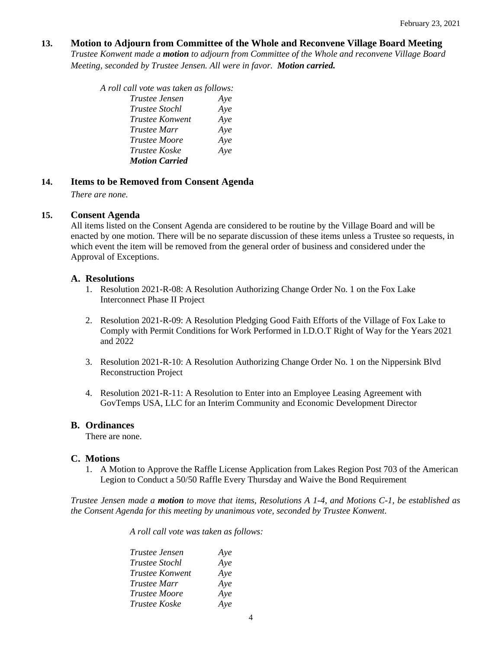#### **13. Motion to Adjourn from Committee of the Whole and Reconvene Village Board Meeting**

*Trustee Konwent made a motion to adjourn from Committee of the Whole and reconvene Village Board Meeting, seconded by Trustee Jensen. All were in favor. Motion carried.* 

| A roll call vote was taken as follows: |     |
|----------------------------------------|-----|
| Trustee Jensen                         | Ave |
| <i>Trustee Stochl</i>                  | Aye |
| <i>Trustee Konwent</i>                 | Aye |
| Trustee Marr                           | Aye |
| <b>Trustee Moore</b>                   | Aye |
| <i>Trustee Koske</i>                   | Aye |
| <b>Motion Carried</b>                  |     |

#### **14. Items to be Removed from Consent Agenda**

*There are none.*

### **15. Consent Agenda**

All items listed on the Consent Agenda are considered to be routine by the Village Board and will be enacted by one motion. There will be no separate discussion of these items unless a Trustee so requests, in which event the item will be removed from the general order of business and considered under the Approval of Exceptions.

### **A. Resolutions**

- 1. Resolution 2021-R-08: A Resolution Authorizing Change Order No. 1 on the Fox Lake Interconnect Phase II Project
- 2. Resolution 2021-R-09: A Resolution Pledging Good Faith Efforts of the Village of Fox Lake to Comply with Permit Conditions for Work Performed in I.D.O.T Right of Way for the Years 2021 and 2022
- 3. Resolution 2021-R-10: A Resolution Authorizing Change Order No. 1 on the Nippersink Blvd Reconstruction Project
- 4. Resolution 2021-R-11: A Resolution to Enter into an Employee Leasing Agreement with GovTemps USA, LLC for an Interim Community and Economic Development Director

#### **B. Ordinances**

There are none.

#### **C. Motions**

1. A Motion to Approve the Raffle License Application from Lakes Region Post 703 of the American Legion to Conduct a 50/50 Raffle Every Thursday and Waive the Bond Requirement

*Trustee Jensen made a motion to move that items, Resolutions A 1-4, and Motions C-1, be established as the Consent Agenda for this meeting by unanimous vote, seconded by Trustee Konwent.*

*A roll call vote was taken as follows:* 

| <i>Trustee Jensen</i> | Aye |
|-----------------------|-----|
| <b>Trustee Stochl</b> | Aye |
| Trustee Konwent       | Aye |
| Trustee Marr          | Aye |
| <b>Trustee Moore</b>  | Aye |
| Trustee Koske         | Aye |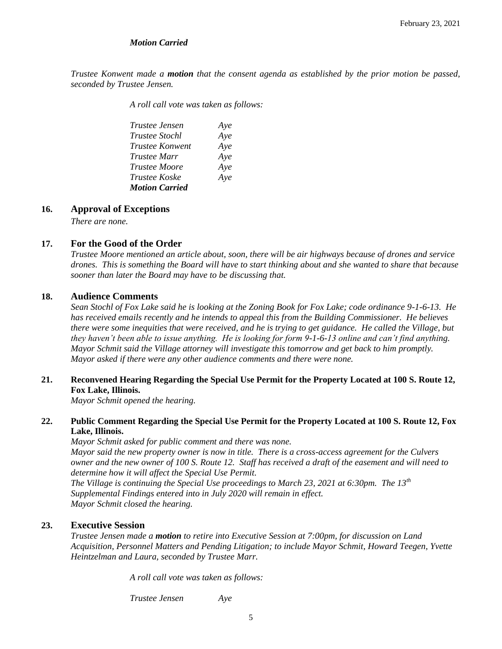#### *Motion Carried*

*Trustee Konwent made a motion that the consent agenda as established by the prior motion be passed, seconded by Trustee Jensen.*

*A roll call vote was taken as follows:* 

| Trustee Jensen        | Aye |
|-----------------------|-----|
| <i>Trustee Stochl</i> | Aye |
| Trustee Konwent       | Aye |
| <i>Trustee Marr</i>   | Aye |
| <i>Trustee Moore</i>  | Aye |
| <i>Trustee Koske</i>  | Aye |
| <b>Motion Carried</b> |     |

#### **16. Approval of Exceptions**

*There are none.*

#### **17. For the Good of the Order**

*Trustee Moore mentioned an article about, soon, there will be air highways because of drones and service drones. This is something the Board will have to start thinking about and she wanted to share that because sooner than later the Board may have to be discussing that.* 

#### **18. Audience Comments**

*Sean Stochl of Fox Lake said he is looking at the Zoning Book for Fox Lake; code ordinance 9-1-6-13. He has received emails recently and he intends to appeal this from the Building Commissioner. He believes there were some inequities that were received, and he is trying to get guidance. He called the Village, but they haven't been able to issue anything. He is looking for form 9-1-6-13 online and can't find anything. Mayor Schmit said the Village attorney will investigate this tomorrow and get back to him promptly. Mayor asked if there were any other audience comments and there were none.* 

#### **21. Reconvened Hearing Regarding the Special Use Permit for the Property Located at 100 S. Route 12, Fox Lake, Illinois.**

*Mayor Schmit opened the hearing.* 

#### **22. Public Comment Regarding the Special Use Permit for the Property Located at 100 S. Route 12, Fox Lake, Illinois.**

*Mayor Schmit asked for public comment and there was none. Mayor said the new property owner is now in title. There is a cross-access agreement for the Culvers owner and the new owner of 100 S. Route 12. Staff has received a draft of the easement and will need to determine how it will affect the Special Use Permit. The Village is continuing the Special Use proceedings to March 23, 2021 at 6:30pm. The 13th*

*Supplemental Findings entered into in July 2020 will remain in effect. Mayor Schmit closed the hearing.* 

#### **23. Executive Session**

*Trustee Jensen made a motion to retire into Executive Session at 7:00pm, for discussion on Land Acquisition, Personnel Matters and Pending Litigation; to include Mayor Schmit, Howard Teegen, Yvette Heintzelman and Laura, seconded by Trustee Marr.*

*A roll call vote was taken as follows:* 

*Trustee Jensen Aye*